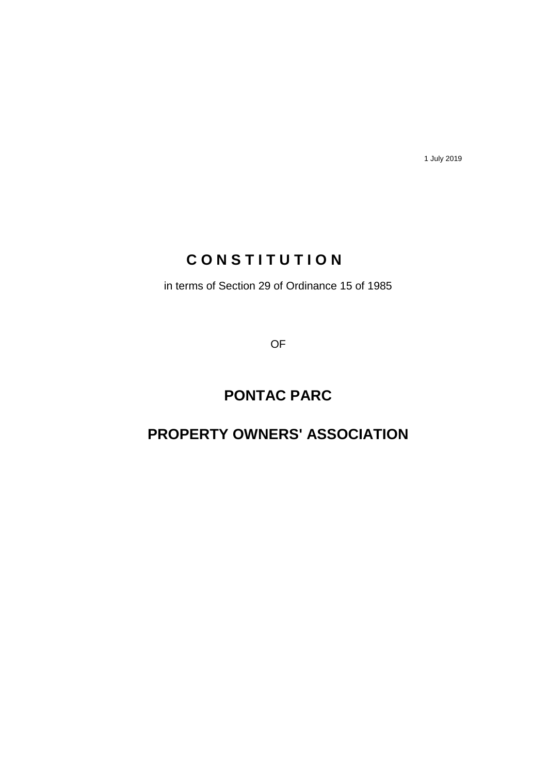1 July 2019

## **C O N S T I T U T I O N**

in terms of Section 29 of Ordinance 15 of 1985

OF

# **PONTAC PARC**

## **PROPERTY OWNERS' ASSOCIATION**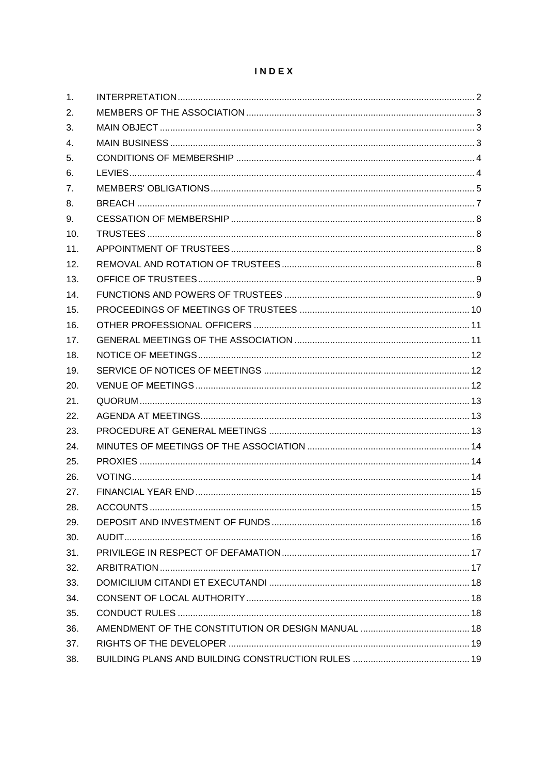## INDEX

| 1.  |  |
|-----|--|
| 2.  |  |
| 3.  |  |
| 4.  |  |
| 5.  |  |
| 6.  |  |
| 7.  |  |
| 8.  |  |
| 9.  |  |
| 10. |  |
| 11. |  |
| 12. |  |
| 13. |  |
| 14. |  |
| 15. |  |
| 16. |  |
| 17. |  |
| 18. |  |
| 19. |  |
| 20. |  |
| 21. |  |
| 22. |  |
| 23. |  |
| 24. |  |
| 25. |  |
| 26. |  |
| 27. |  |
| 28. |  |
| 29. |  |
| 30. |  |
| 31. |  |
| 32. |  |
| 33. |  |
| 34. |  |
| 35. |  |
| 36. |  |
| 37. |  |
| 38. |  |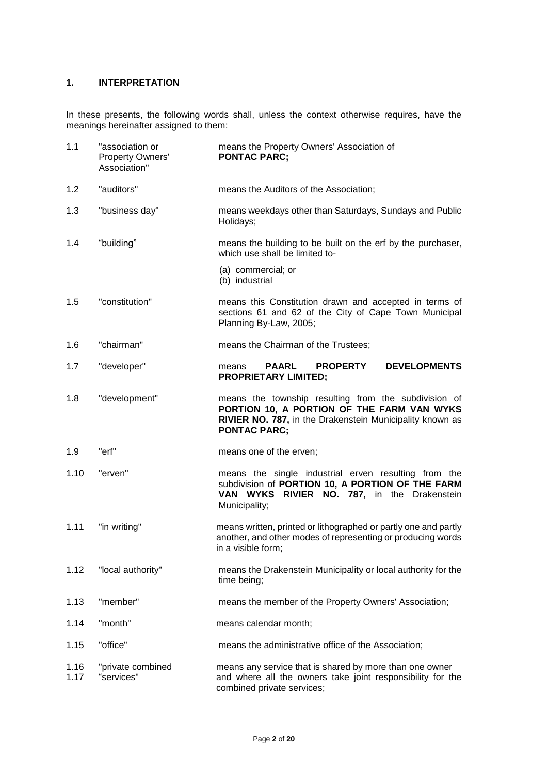## <span id="page-2-0"></span>**1. INTERPRETATION**

In these presents, the following words shall, unless the context otherwise requires, have the meanings hereinafter assigned to them:

| 1.1          | "association or<br>Property Owners'<br>Association" | means the Property Owners' Association of<br><b>PONTAC PARC:</b>                                                                                                                      |
|--------------|-----------------------------------------------------|---------------------------------------------------------------------------------------------------------------------------------------------------------------------------------------|
| 1.2          | "auditors"                                          | means the Auditors of the Association;                                                                                                                                                |
| 1.3          | "business day"                                      | means weekdays other than Saturdays, Sundays and Public<br>Holidays;                                                                                                                  |
| 1.4          | "building"                                          | means the building to be built on the erf by the purchaser,<br>which use shall be limited to-                                                                                         |
|              |                                                     | (a) commercial; or<br>(b) industrial                                                                                                                                                  |
| 1.5          | "constitution"                                      | means this Constitution drawn and accepted in terms of<br>sections 61 and 62 of the City of Cape Town Municipal<br>Planning By-Law, 2005;                                             |
| 1.6          | "chairman"                                          | means the Chairman of the Trustees;                                                                                                                                                   |
| 1.7          | "developer"                                         | <b>PAARL</b><br><b>PROPERTY</b><br><b>DEVELOPMENTS</b><br>means<br><b>PROPRIETARY LIMITED;</b>                                                                                        |
| 1.8          | "development"                                       | means the township resulting from the subdivision of<br>PORTION 10, A PORTION OF THE FARM VAN WYKS<br>RIVIER NO. 787, in the Drakenstein Municipality known as<br><b>PONTAC PARC;</b> |
| 1.9          | "erf"                                               | means one of the erven;                                                                                                                                                               |
| 1.10         | "erven"                                             | means the single industrial erven resulting from the<br>subdivision of PORTION 10, A PORTION OF THE FARM<br>VAN WYKS<br>RIVIER NO. 787, in the Drakenstein<br>Municipality;           |
| 1.11         | "in writing"                                        | means written, printed or lithographed or partly one and partly<br>another, and other modes of representing or producing words<br>in a visible form;                                  |
| 1.12         | "local authority"                                   | means the Drakenstein Municipality or local authority for the<br>time being;                                                                                                          |
| 1.13         | "member"                                            | means the member of the Property Owners' Association;                                                                                                                                 |
| 1.14         | "month"                                             | means calendar month;                                                                                                                                                                 |
| 1.15         | "office"                                            | means the administrative office of the Association;                                                                                                                                   |
| 1.16<br>1.17 | "private combined<br>"services"                     | means any service that is shared by more than one owner<br>and where all the owners take joint responsibility for the<br>combined private services;                                   |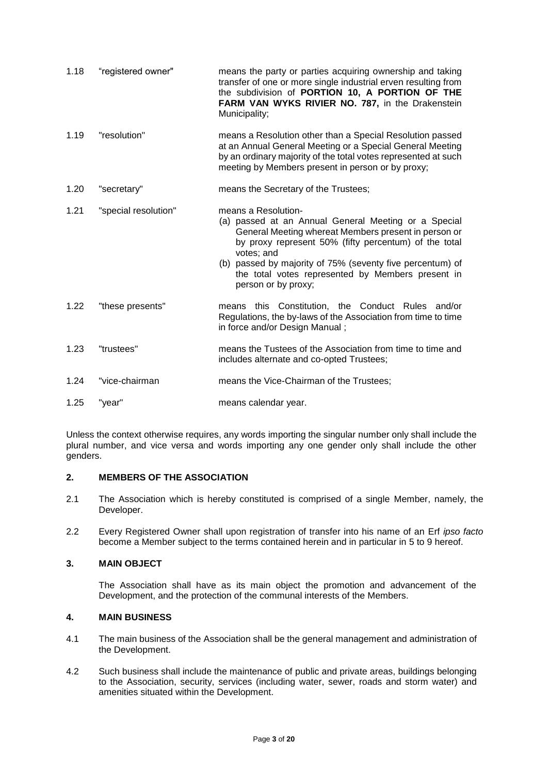| 1.18 | "registered owner"   | means the party or parties acquiring ownership and taking<br>transfer of one or more single industrial erven resulting from<br>the subdivision of PORTION 10, A PORTION OF THE<br>FARM VAN WYKS RIVIER NO. 787, in the Drakenstein<br>Municipality;                                                                                                 |
|------|----------------------|-----------------------------------------------------------------------------------------------------------------------------------------------------------------------------------------------------------------------------------------------------------------------------------------------------------------------------------------------------|
| 1.19 | "resolution"         | means a Resolution other than a Special Resolution passed<br>at an Annual General Meeting or a Special General Meeting<br>by an ordinary majority of the total votes represented at such<br>meeting by Members present in person or by proxy;                                                                                                       |
| 1.20 | "secretary"          | means the Secretary of the Trustees;                                                                                                                                                                                                                                                                                                                |
| 1.21 | "special resolution" | means a Resolution-<br>(a) passed at an Annual General Meeting or a Special<br>General Meeting whereat Members present in person or<br>by proxy represent 50% (fifty percentum) of the total<br>votes; and<br>(b) passed by majority of 75% (seventy five percentum) of<br>the total votes represented by Members present in<br>person or by proxy; |
| 1.22 | "these presents"     | means this Constitution, the Conduct Rules and/or<br>Regulations, the by-laws of the Association from time to time<br>in force and/or Design Manual;                                                                                                                                                                                                |
| 1.23 | "trustees"           | means the Tustees of the Association from time to time and<br>includes alternate and co-opted Trustees;                                                                                                                                                                                                                                             |
| 1.24 | "vice-chairman       | means the Vice-Chairman of the Trustees;                                                                                                                                                                                                                                                                                                            |
| 1.25 | "year"               | means calendar year.                                                                                                                                                                                                                                                                                                                                |

Unless the context otherwise requires, any words importing the singular number only shall include the plural number, and vice versa and words importing any one gender only shall include the other genders.

## <span id="page-3-0"></span>**2. MEMBERS OF THE ASSOCIATION**

- 2.1 The Association which is hereby constituted is comprised of a single Member, namely, the Developer.
- 2.2 Every Registered Owner shall upon registration of transfer into his name of an Erf *ipso facto* become a Member subject to the terms contained herein and in particular in 5 to 9 hereof.

## <span id="page-3-1"></span>**3. MAIN OBJECT**

The Association shall have as its main object the promotion and advancement of the Development, and the protection of the communal interests of the Members.

## <span id="page-3-2"></span>**4. MAIN BUSINESS**

- 4.1 The main business of the Association shall be the general management and administration of the Development.
- 4.2 Such business shall include the maintenance of public and private areas, buildings belonging to the Association, security, services (including water, sewer, roads and storm water) and amenities situated within the Development.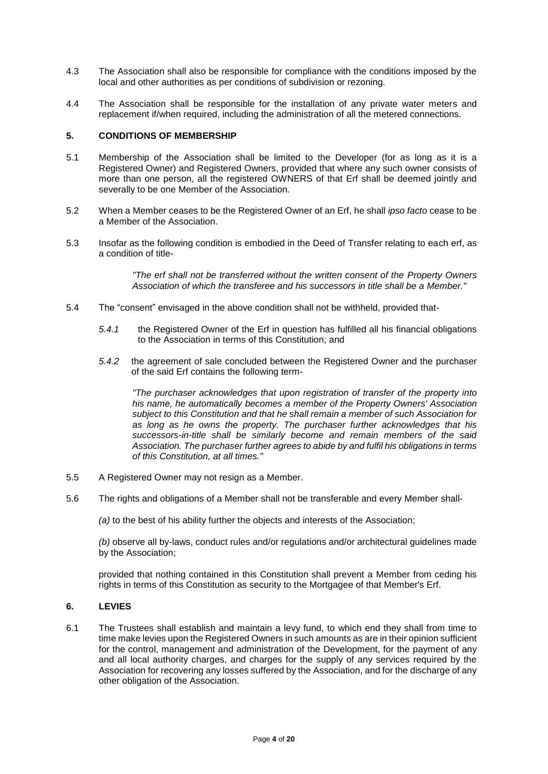- 4.3 The Association shall also be responsible for compliance with the conditions imposed by the local and other authorities as per conditions of subdivision or rezoning.
- 4.4 The Association shall be responsible for the installation of any private water meters and replacement if/when required, including the administration of all the metered connections.

## <span id="page-4-0"></span>**5. CONDITIONS OF MEMBERSHIP**

- 5.1 Membership of the Association shall be limited to the Developer (for as long as it is a Registered Owner) and Registered Owners, provided that where any such owner consists of more than one person, all the registered OWNERS of that Erf shall be deemed jointly and severally to be one Member of the Association.
- 5.2 When a Member ceases to be the Registered Owner of an Erf, he shall *ipso facto* cease to be a Member of the Association.
- 5.3 Insofar as the following condition is embodied in the Deed of Transfer relating to each erf, as a condition of title-

*"The erf shall not be transferred without the written consent of the Property Owners Association of which the transferee and his successors in title shall be a Member."*

- 5.4 The "consent" envisaged in the above condition shall not be withheld, provided that-
	- *5.4.1* the Registered Owner of the Erf in question has fulfilled all his financial obligations to the Association in terms of this Constitution; and
	- *5.4.2* the agreement of sale concluded between the Registered Owner and the purchaser of the said Erf contains the following term-

*"The purchaser acknowledges that upon registration of transfer of the property into his name, he automatically becomes a member of the Property Owners' Association subject to this Constitution and that he shall remain a member of such Association for as long as he owns the property. The purchaser further acknowledges that his successors-in-title shall be similarly become and remain members of the said Association. The purchaser further agrees to abide by and fulfil his obligations in terms of this Constitution, at all times."*

- 5.5 A Registered Owner may not resign as a Member.
- 5.6 The rights and obligations of a Member shall not be transferable and every Member shall-

*(a)* to the best of his ability further the objects and interests of the Association;

*(b)* observe all by-laws, conduct rules and/or regulations and/or architectural guidelines made by the Association;

provided that nothing contained in this Constitution shall prevent a Member from ceding his rights in terms of this Constitution as security to the Mortgagee of that Member's Erf.

## <span id="page-4-1"></span>**6. LEVIES**

6.1 The Trustees shall establish and maintain a levy fund, to which end they shall from time to time make levies upon the Registered Owners in such amounts as are in their opinion sufficient for the control, management and administration of the Development, for the payment of any and all local authority charges, and charges for the supply of any services required by the Association for recovering any losses suffered by the Association, and for the discharge of any other obligation of the Association.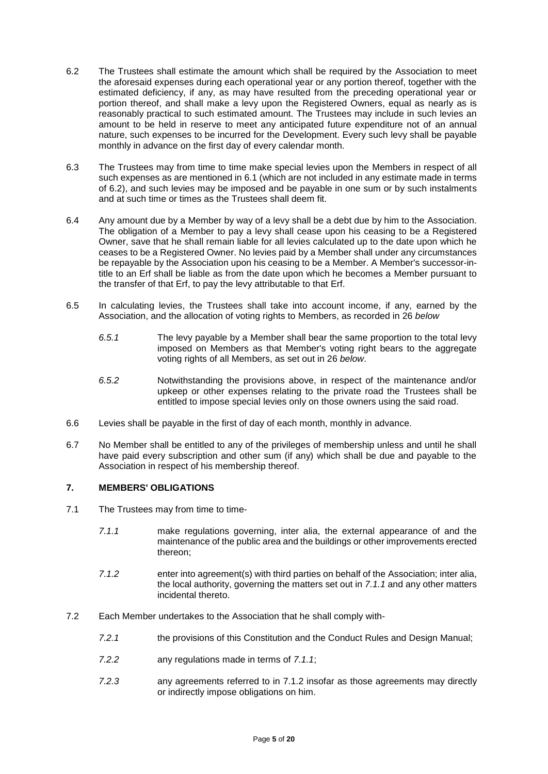- 6.2 The Trustees shall estimate the amount which shall be required by the Association to meet the aforesaid expenses during each operational year or any portion thereof, together with the estimated deficiency, if any, as may have resulted from the preceding operational year or portion thereof, and shall make a levy upon the Registered Owners, equal as nearly as is reasonably practical to such estimated amount. The Trustees may include in such levies an amount to be held in reserve to meet any anticipated future expenditure not of an annual nature, such expenses to be incurred for the Development. Every such levy shall be payable monthly in advance on the first day of every calendar month.
- 6.3 The Trustees may from time to time make special levies upon the Members in respect of all such expenses as are mentioned in 6.1 (which are not included in any estimate made in terms of 6.2), and such levies may be imposed and be payable in one sum or by such instalments and at such time or times as the Trustees shall deem fit.
- 6.4 Any amount due by a Member by way of a levy shall be a debt due by him to the Association. The obligation of a Member to pay a levy shall cease upon his ceasing to be a Registered Owner, save that he shall remain liable for all levies calculated up to the date upon which he ceases to be a Registered Owner. No levies paid by a Member shall under any circumstances be repayable by the Association upon his ceasing to be a Member. A Member's successor-intitle to an Erf shall be liable as from the date upon which he becomes a Member pursuant to the transfer of that Erf, to pay the levy attributable to that Erf.
- 6.5 In calculating levies, the Trustees shall take into account income, if any, earned by the Association, and the allocation of voting rights to Members, as recorded in 26 *below* 
	- *6.5.1* The levy payable by a Member shall bear the same proportion to the total levy imposed on Members as that Member's voting right bears to the aggregate voting rights of all Members, as set out in 26 *below*.
	- *6.5.2* Notwithstanding the provisions above, in respect of the maintenance and/or upkeep or other expenses relating to the private road the Trustees shall be entitled to impose special levies only on those owners using the said road.
- 6.6 Levies shall be payable in the first of day of each month, monthly in advance.
- 6.7 No Member shall be entitled to any of the privileges of membership unless and until he shall have paid every subscription and other sum (if any) which shall be due and payable to the Association in respect of his membership thereof.

## <span id="page-5-0"></span>**7. MEMBERS' OBLIGATIONS**

- 7.1 The Trustees may from time to time-
	- *7.1.1* make regulations governing, inter alia, the external appearance of and the maintenance of the public area and the buildings or other improvements erected thereon;
	- *7.1.2* enter into agreement(s) with third parties on behalf of the Association; inter alia, the local authority, governing the matters set out in *7.1.1* and any other matters incidental thereto.
- 7.2 Each Member undertakes to the Association that he shall comply with-
	- *7.2.1* the provisions of this Constitution and the Conduct Rules and Design Manual;
	- *7.2.2* any regulations made in terms of *7.1.1*;
	- *7.2.3* any agreements referred to in 7.1.2 insofar as those agreements may directly or indirectly impose obligations on him.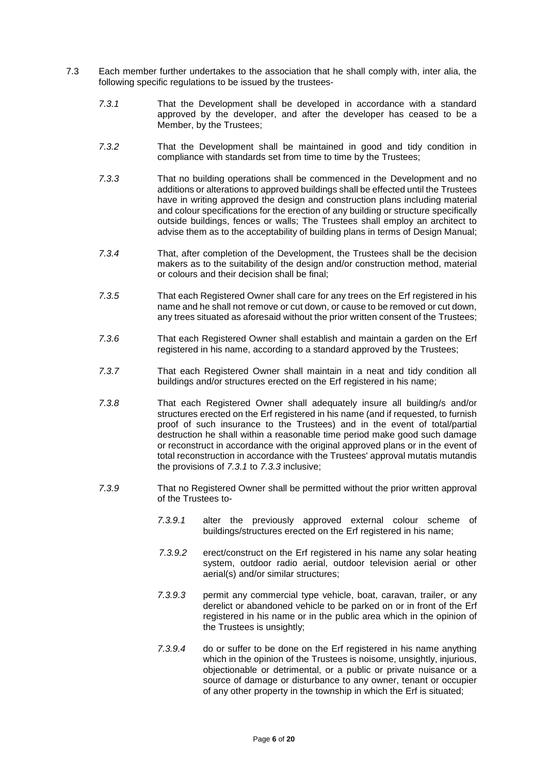- 7.3 Each member further undertakes to the association that he shall comply with, inter alia, the following specific regulations to be issued by the trustees-
	- *7.3.1* That the Development shall be developed in accordance with a standard approved by the developer, and after the developer has ceased to be a Member, by the Trustees;
	- *7.3.2* That the Development shall be maintained in good and tidy condition in compliance with standards set from time to time by the Trustees;
	- *7.3.3* That no building operations shall be commenced in the Development and no additions or alterations to approved buildings shall be effected until the Trustees have in writing approved the design and construction plans including material and colour specifications for the erection of any building or structure specifically outside buildings, fences or walls; The Trustees shall employ an architect to advise them as to the acceptability of building plans in terms of Design Manual;
	- *7.3.4* That, after completion of the Development, the Trustees shall be the decision makers as to the suitability of the design and/or construction method, material or colours and their decision shall be final;
	- *7.3.5* That each Registered Owner shall care for any trees on the Erf registered in his name and he shall not remove or cut down, or cause to be removed or cut down, any trees situated as aforesaid without the prior written consent of the Trustees;
	- *7.3.6* That each Registered Owner shall establish and maintain a garden on the Erf registered in his name, according to a standard approved by the Trustees;
	- *7.3.7* That each Registered Owner shall maintain in a neat and tidy condition all buildings and/or structures erected on the Erf registered in his name;
	- *7.3.8* That each Registered Owner shall adequately insure all building/s and/or structures erected on the Erf registered in his name (and if requested, to furnish proof of such insurance to the Trustees) and in the event of total/partial destruction he shall within a reasonable time period make good such damage or reconstruct in accordance with the original approved plans or in the event of total reconstruction in accordance with the Trustees' approval mutatis mutandis the provisions of *7.3.1* to *7.3.3* inclusive;
	- *7.3.9* That no Registered Owner shall be permitted without the prior written approval of the Trustees to-
		- *7.3.9.1* alter the previously approved external colour scheme of buildings/structures erected on the Erf registered in his name;
		- *7.3.9.2* erect/construct on the Erf registered in his name any solar heating system, outdoor radio aerial, outdoor television aerial or other aerial(s) and/or similar structures;
		- *7.3.9.3* permit any commercial type vehicle, boat, caravan, trailer, or any derelict or abandoned vehicle to be parked on or in front of the Erf registered in his name or in the public area which in the opinion of the Trustees is unsightly;
		- *7.3.9.4* do or suffer to be done on the Erf registered in his name anything which in the opinion of the Trustees is noisome, unsightly, injurious, objectionable or detrimental, or a public or private nuisance or a source of damage or disturbance to any owner, tenant or occupier of any other property in the township in which the Erf is situated;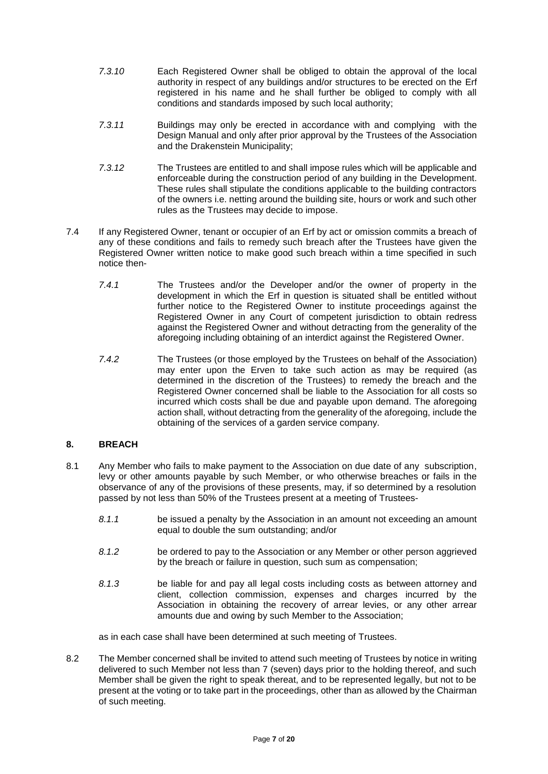- *7.3.10* Each Registered Owner shall be obliged to obtain the approval of the local authority in respect of any buildings and/or structures to be erected on the Erf registered in his name and he shall further be obliged to comply with all conditions and standards imposed by such local authority;
- *7.3.11* Buildings may only be erected in accordance with and complying with the Design Manual and only after prior approval by the Trustees of the Association and the Drakenstein Municipality;
- *7.3.12* The Trustees are entitled to and shall impose rules which will be applicable and enforceable during the construction period of any building in the Development. These rules shall stipulate the conditions applicable to the building contractors of the owners i.e. netting around the building site, hours or work and such other rules as the Trustees may decide to impose.
- 7.4 If any Registered Owner, tenant or occupier of an Erf by act or omission commits a breach of any of these conditions and fails to remedy such breach after the Trustees have given the Registered Owner written notice to make good such breach within a time specified in such notice then-
	- *7.4.1* The Trustees and/or the Developer and/or the owner of property in the development in which the Erf in question is situated shall be entitled without further notice to the Registered Owner to institute proceedings against the Registered Owner in any Court of competent jurisdiction to obtain redress against the Registered Owner and without detracting from the generality of the aforegoing including obtaining of an interdict against the Registered Owner.
	- *7.4.2* The Trustees (or those employed by the Trustees on behalf of the Association) may enter upon the Erven to take such action as may be required (as determined in the discretion of the Trustees) to remedy the breach and the Registered Owner concerned shall be liable to the Association for all costs so incurred which costs shall be due and payable upon demand. The aforegoing action shall, without detracting from the generality of the aforegoing, include the obtaining of the services of a garden service company.

## <span id="page-7-0"></span>**8. BREACH**

- 8.1 Any Member who fails to make payment to the Association on due date of any subscription, levy or other amounts payable by such Member, or who otherwise breaches or fails in the observance of any of the provisions of these presents, may, if so determined by a resolution passed by not less than 50% of the Trustees present at a meeting of Trustees-
	- *8.1.1* be issued a penalty by the Association in an amount not exceeding an amount equal to double the sum outstanding; and/or
	- *8.1.2* be ordered to pay to the Association or any Member or other person aggrieved by the breach or failure in question, such sum as compensation;
	- *8.1.3* be liable for and pay all legal costs including costs as between attorney and client, collection commission, expenses and charges incurred by the Association in obtaining the recovery of arrear levies, or any other arrear amounts due and owing by such Member to the Association;

as in each case shall have been determined at such meeting of Trustees.

8.2 The Member concerned shall be invited to attend such meeting of Trustees by notice in writing delivered to such Member not less than 7 (seven) days prior to the holding thereof, and such Member shall be given the right to speak thereat, and to be represented legally, but not to be present at the voting or to take part in the proceedings, other than as allowed by the Chairman of such meeting.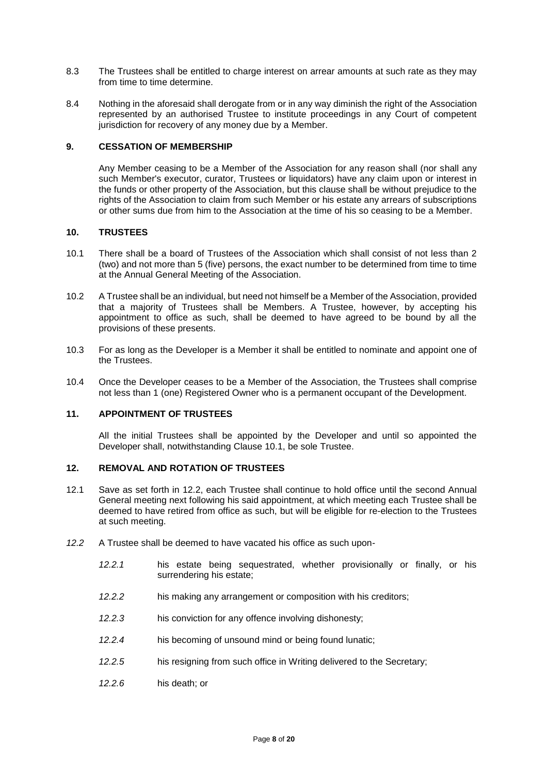- 8.3 The Trustees shall be entitled to charge interest on arrear amounts at such rate as they may from time to time determine.
- 8.4 Nothing in the aforesaid shall derogate from or in any way diminish the right of the Association represented by an authorised Trustee to institute proceedings in any Court of competent jurisdiction for recovery of any money due by a Member.

## <span id="page-8-0"></span>**9. CESSATION OF MEMBERSHIP**

Any Member ceasing to be a Member of the Association for any reason shall (nor shall any such Member's executor, curator, Trustees or liquidators) have any claim upon or interest in the funds or other property of the Association, but this clause shall be without prejudice to the rights of the Association to claim from such Member or his estate any arrears of subscriptions or other sums due from him to the Association at the time of his so ceasing to be a Member.

### <span id="page-8-1"></span>**10. TRUSTEES**

- 10.1 There shall be a board of Trustees of the Association which shall consist of not less than 2 (two) and not more than 5 (five) persons, the exact number to be determined from time to time at the Annual General Meeting of the Association.
- 10.2 A Trustee shall be an individual, but need not himself be a Member of the Association, provided that a majority of Trustees shall be Members. A Trustee, however, by accepting his appointment to office as such, shall be deemed to have agreed to be bound by all the provisions of these presents.
- 10.3 For as long as the Developer is a Member it shall be entitled to nominate and appoint one of the Trustees.
- 10.4 Once the Developer ceases to be a Member of the Association, the Trustees shall comprise not less than 1 (one) Registered Owner who is a permanent occupant of the Development.

#### <span id="page-8-2"></span>**11. APPOINTMENT OF TRUSTEES**

All the initial Trustees shall be appointed by the Developer and until so appointed the Developer shall, notwithstanding Clause 10.1, be sole Trustee.

## <span id="page-8-3"></span>**12. REMOVAL AND ROTATION OF TRUSTEES**

- 12.1 Save as set forth in 12.2, each Trustee shall continue to hold office until the second Annual General meeting next following his said appointment, at which meeting each Trustee shall be deemed to have retired from office as such, but will be eligible for re-election to the Trustees at such meeting.
- *12.2* A Trustee shall be deemed to have vacated his office as such upon-
	- *12.2.1* his estate being sequestrated, whether provisionally or finally, or his surrendering his estate;
	- *12.2.2* his making any arrangement or composition with his creditors;
	- *12.2.3* his conviction for any offence involving dishonesty;
	- *12.2.4* his becoming of unsound mind or being found lunatic;
	- *12.2.5* his resigning from such office in Writing delivered to the Secretary;
	- *12.2.6* his death; or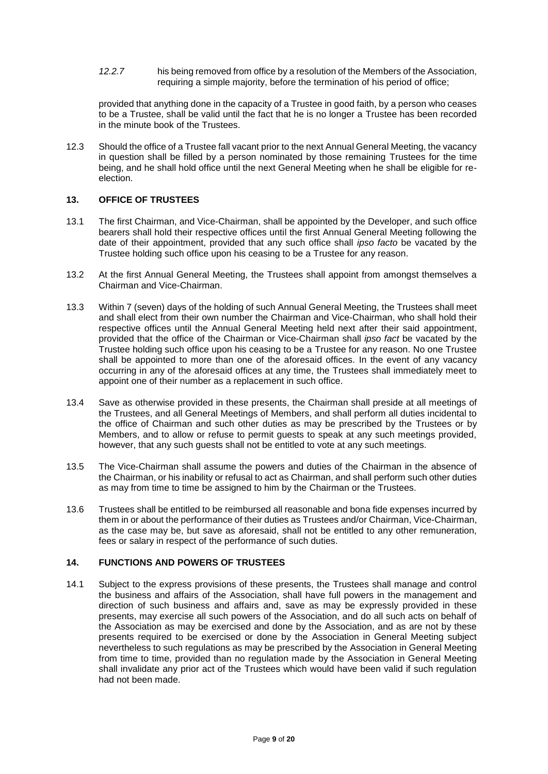*12.2.7* his being removed from office by a resolution of the Members of the Association, requiring a simple majority, before the termination of his period of office;

provided that anything done in the capacity of a Trustee in good faith, by a person who ceases to be a Trustee, shall be valid until the fact that he is no longer a Trustee has been recorded in the minute book of the Trustees.

12.3 Should the office of a Trustee fall vacant prior to the next Annual General Meeting, the vacancy in question shall be filled by a person nominated by those remaining Trustees for the time being, and he shall hold office until the next General Meeting when he shall be eligible for reelection.

## <span id="page-9-0"></span>**13. OFFICE OF TRUSTEES**

- 13.1 The first Chairman, and Vice-Chairman, shall be appointed by the Developer, and such office bearers shall hold their respective offices until the first Annual General Meeting following the date of their appointment, provided that any such office shall *ipso facto* be vacated by the Trustee holding such office upon his ceasing to be a Trustee for any reason.
- 13.2 At the first Annual General Meeting, the Trustees shall appoint from amongst themselves a Chairman and Vice-Chairman.
- 13.3 Within 7 (seven) days of the holding of such Annual General Meeting, the Trustees shall meet and shall elect from their own number the Chairman and Vice-Chairman, who shall hold their respective offices until the Annual General Meeting held next after their said appointment, provided that the office of the Chairman or Vice-Chairman shall *ipso fact* be vacated by the Trustee holding such office upon his ceasing to be a Trustee for any reason. No one Trustee shall be appointed to more than one of the aforesaid offices. In the event of any vacancy occurring in any of the aforesaid offices at any time, the Trustees shall immediately meet to appoint one of their number as a replacement in such office.
- 13.4 Save as otherwise provided in these presents, the Chairman shall preside at all meetings of the Trustees, and all General Meetings of Members, and shall perform all duties incidental to the office of Chairman and such other duties as may be prescribed by the Trustees or by Members, and to allow or refuse to permit guests to speak at any such meetings provided, however, that any such guests shall not be entitled to vote at any such meetings.
- 13.5 The Vice-Chairman shall assume the powers and duties of the Chairman in the absence of the Chairman, or his inability or refusal to act as Chairman, and shall perform such other duties as may from time to time be assigned to him by the Chairman or the Trustees.
- 13.6 Trustees shall be entitled to be reimbursed all reasonable and bona fide expenses incurred by them in or about the performance of their duties as Trustees and/or Chairman, Vice-Chairman, as the case may be, but save as aforesaid, shall not be entitled to any other remuneration, fees or salary in respect of the performance of such duties.

#### <span id="page-9-1"></span>**14. FUNCTIONS AND POWERS OF TRUSTEES**

14.1 Subject to the express provisions of these presents, the Trustees shall manage and control the business and affairs of the Association, shall have full powers in the management and direction of such business and affairs and, save as may be expressly provided in these presents, may exercise all such powers of the Association, and do all such acts on behalf of the Association as may be exercised and done by the Association, and as are not by these presents required to be exercised or done by the Association in General Meeting subject nevertheless to such regulations as may be prescribed by the Association in General Meeting from time to time, provided than no regulation made by the Association in General Meeting shall invalidate any prior act of the Trustees which would have been valid if such regulation had not been made.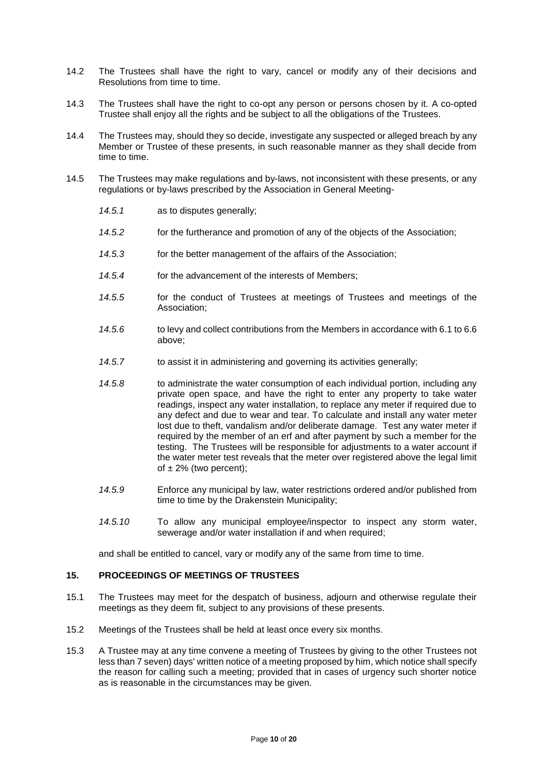- 14.2 The Trustees shall have the right to vary, cancel or modify any of their decisions and Resolutions from time to time.
- 14.3 The Trustees shall have the right to co-opt any person or persons chosen by it. A co-opted Trustee shall enjoy all the rights and be subject to all the obligations of the Trustees.
- 14.4 The Trustees may, should they so decide, investigate any suspected or alleged breach by any Member or Trustee of these presents, in such reasonable manner as they shall decide from time to time.
- 14.5 The Trustees may make regulations and by-laws, not inconsistent with these presents, or any regulations or by-laws prescribed by the Association in General Meeting-
	- *14.5.1* as to disputes generally;
	- *14.5.2* for the furtherance and promotion of any of the objects of the Association;
	- *14.5.3* for the better management of the affairs of the Association;
	- *14.5.4* for the advancement of the interests of Members;
	- *14.5.5* for the conduct of Trustees at meetings of Trustees and meetings of the Association;
	- *14.5.6* to levy and collect contributions from the Members in accordance with 6.1 to 6.6 above;
	- *14.5.7* to assist it in administering and governing its activities generally;
	- *14.5.8* to administrate the water consumption of each individual portion, including any private open space, and have the right to enter any property to take water readings, inspect any water installation, to replace any meter if required due to any defect and due to wear and tear. To calculate and install any water meter lost due to theft, vandalism and/or deliberate damage. Test any water meter if required by the member of an erf and after payment by such a member for the testing. The Trustees will be responsible for adjustments to a water account if the water meter test reveals that the meter over registered above the legal limit of  $\pm$  2% (two percent);
	- *14.5.9* Enforce any municipal by law, water restrictions ordered and/or published from time to time by the Drakenstein Municipality;
	- *14.5.10* To allow any municipal employee/inspector to inspect any storm water, sewerage and/or water installation if and when required;

and shall be entitled to cancel, vary or modify any of the same from time to time.

#### <span id="page-10-0"></span>**15. PROCEEDINGS OF MEETINGS OF TRUSTEES**

- 15.1 The Trustees may meet for the despatch of business, adjourn and otherwise regulate their meetings as they deem fit, subject to any provisions of these presents.
- 15.2 Meetings of the Trustees shall be held at least once every six months.
- 15.3 A Trustee may at any time convene a meeting of Trustees by giving to the other Trustees not less than 7 seven) days' written notice of a meeting proposed by him, which notice shall specify the reason for calling such a meeting; provided that in cases of urgency such shorter notice as is reasonable in the circumstances may be given.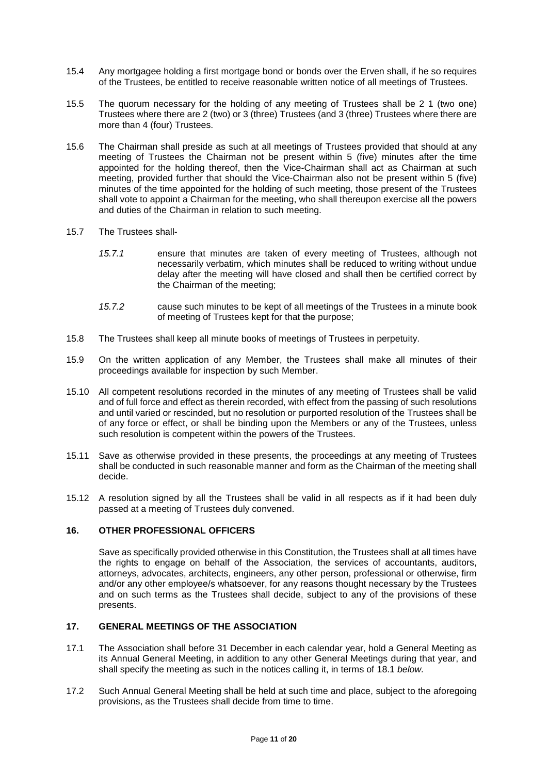- 15.4 Any mortgagee holding a first mortgage bond or bonds over the Erven shall, if he so requires of the Trustees, be entitled to receive reasonable written notice of all meetings of Trustees.
- 15.5 The quorum necessary for the holding of any meeting of Trustees shall be 2 4 (two one) Trustees where there are 2 (two) or 3 (three) Trustees (and 3 (three) Trustees where there are more than 4 (four) Trustees.
- 15.6 The Chairman shall preside as such at all meetings of Trustees provided that should at any meeting of Trustees the Chairman not be present within 5 (five) minutes after the time appointed for the holding thereof, then the Vice-Chairman shall act as Chairman at such meeting, provided further that should the Vice-Chairman also not be present within 5 (five) minutes of the time appointed for the holding of such meeting, those present of the Trustees shall vote to appoint a Chairman for the meeting, who shall thereupon exercise all the powers and duties of the Chairman in relation to such meeting.
- 15.7 The Trustees shall-
	- *15.7.1* ensure that minutes are taken of every meeting of Trustees, although not necessarily verbatim, which minutes shall be reduced to writing without undue delay after the meeting will have closed and shall then be certified correct by the Chairman of the meeting;
	- *15.7.2* cause such minutes to be kept of all meetings of the Trustees in a minute book of meeting of Trustees kept for that the purpose;
- 15.8 The Trustees shall keep all minute books of meetings of Trustees in perpetuity.
- 15.9 On the written application of any Member, the Trustees shall make all minutes of their proceedings available for inspection by such Member.
- 15.10 All competent resolutions recorded in the minutes of any meeting of Trustees shall be valid and of full force and effect as therein recorded, with effect from the passing of such resolutions and until varied or rescinded, but no resolution or purported resolution of the Trustees shall be of any force or effect, or shall be binding upon the Members or any of the Trustees, unless such resolution is competent within the powers of the Trustees.
- 15.11 Save as otherwise provided in these presents, the proceedings at any meeting of Trustees shall be conducted in such reasonable manner and form as the Chairman of the meeting shall decide.
- 15.12 A resolution signed by all the Trustees shall be valid in all respects as if it had been duly passed at a meeting of Trustees duly convened.

## <span id="page-11-0"></span>**16. OTHER PROFESSIONAL OFFICERS**

Save as specifically provided otherwise in this Constitution, the Trustees shall at all times have the rights to engage on behalf of the Association, the services of accountants, auditors, attorneys, advocates, architects, engineers, any other person, professional or otherwise, firm and/or any other employee/s whatsoever, for any reasons thought necessary by the Trustees and on such terms as the Trustees shall decide, subject to any of the provisions of these presents.

## <span id="page-11-1"></span>**17. GENERAL MEETINGS OF THE ASSOCIATION**

- 17.1 The Association shall before 31 December in each calendar year, hold a General Meeting as its Annual General Meeting, in addition to any other General Meetings during that year, and shall specify the meeting as such in the notices calling it, in terms of 18.1 *below.*
- 17.2 Such Annual General Meeting shall be held at such time and place, subject to the aforegoing provisions, as the Trustees shall decide from time to time.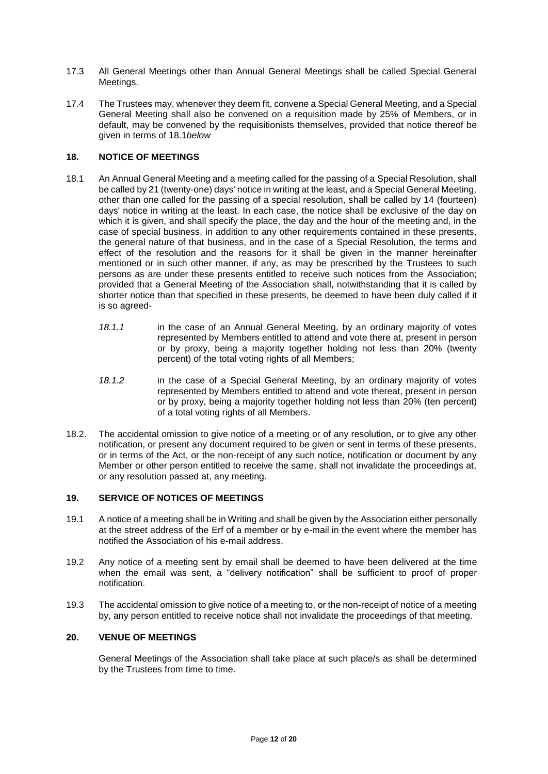- 17.3 All General Meetings other than Annual General Meetings shall be called Special General Meetings.
- 17.4 The Trustees may, whenever they deem fit, convene a Special General Meeting, and a Special General Meeting shall also be convened on a requisition made by 25% of Members, or in default, may be convened by the requisitionists themselves, provided that notice thereof be given in terms of 18.1*below*

## <span id="page-12-0"></span>**18. NOTICE OF MEETINGS**

- 18.1 An Annual General Meeting and a meeting called for the passing of a Special Resolution, shall be called by 21 (twenty-one) days' notice in writing at the least, and a Special General Meeting, other than one called for the passing of a special resolution, shall be called by 14 (fourteen) days' notice in writing at the least. In each case, the notice shall be exclusive of the day on which it is given, and shall specify the place, the day and the hour of the meeting and, in the case of special business, in addition to any other requirements contained in these presents, the general nature of that business, and in the case of a Special Resolution, the terms and effect of the resolution and the reasons for it shall be given in the manner hereinafter mentioned or in such other manner, if any, as may be prescribed by the Trustees to such persons as are under these presents entitled to receive such notices from the Association; provided that a General Meeting of the Association shall, notwithstanding that it is called by shorter notice than that specified in these presents, be deemed to have been duly called if it is so agreed-
	- *18.1.1* in the case of an Annual General Meeting, by an ordinary majority of votes represented by Members entitled to attend and vote there at, present in person or by proxy, being a majority together holding not less than 20% (twenty percent) of the total voting rights of all Members;
	- *18.1.2* in the case of a Special General Meeting, by an ordinary majority of votes represented by Members entitled to attend and vote thereat, present in person or by proxy, being a majority together holding not less than 20% (ten percent) of a total voting rights of all Members.
- 18.2. The accidental omission to give notice of a meeting or of any resolution, or to give any other notification, or present any document required to be given or sent in terms of these presents, or in terms of the Act, or the non-receipt of any such notice, notification or document by any Member or other person entitled to receive the same, shall not invalidate the proceedings at, or any resolution passed at, any meeting.

#### <span id="page-12-1"></span>**19. SERVICE OF NOTICES OF MEETINGS**

- 19.1 A notice of a meeting shall be in Writing and shall be given by the Association either personally at the street address of the Erf of a member or by e-mail in the event where the member has notified the Association of his e-mail address.
- 19.2 Any notice of a meeting sent by email shall be deemed to have been delivered at the time when the email was sent, a "delivery notification" shall be sufficient to proof of proper notification.
- 19.3 The accidental omission to give notice of a meeting to, or the non-receipt of notice of a meeting by, any person entitled to receive notice shall not invalidate the proceedings of that meeting.

#### <span id="page-12-2"></span>**20. VENUE OF MEETINGS**

General Meetings of the Association shall take place at such place/s as shall be determined by the Trustees from time to time.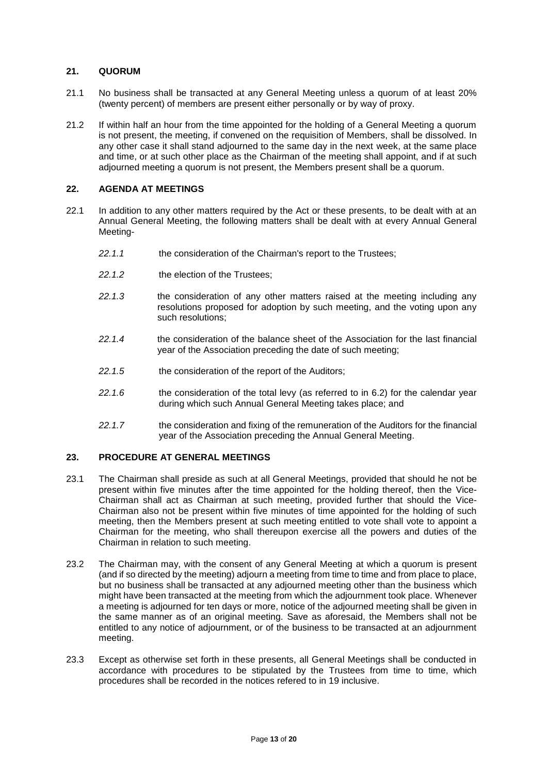## <span id="page-13-0"></span>**21. QUORUM**

- 21.1 No business shall be transacted at any General Meeting unless a quorum of at least 20% (twenty percent) of members are present either personally or by way of proxy.
- 21.2 If within half an hour from the time appointed for the holding of a General Meeting a quorum is not present, the meeting, if convened on the requisition of Members, shall be dissolved. In any other case it shall stand adjourned to the same day in the next week, at the same place and time, or at such other place as the Chairman of the meeting shall appoint, and if at such adjourned meeting a quorum is not present, the Members present shall be a quorum.

## <span id="page-13-1"></span>**22. AGENDA AT MEETINGS**

- 22.1 In addition to any other matters required by the Act or these presents, to be dealt with at an Annual General Meeting, the following matters shall be dealt with at every Annual General Meeting-
	- *22.1.1* the consideration of the Chairman's report to the Trustees;
	- *22.1.2* the election of the Trustees;
	- *22.1.3* the consideration of any other matters raised at the meeting including any resolutions proposed for adoption by such meeting, and the voting upon any such resolutions;
	- *22.1.4* the consideration of the balance sheet of the Association for the last financial year of the Association preceding the date of such meeting;
	- *22.1.5* the consideration of the report of the Auditors;
	- *22.1.6* the consideration of the total levy (as referred to in 6.2) for the calendar year during which such Annual General Meeting takes place; and
	- *22.1.7* the consideration and fixing of the remuneration of the Auditors for the financial year of the Association preceding the Annual General Meeting.

## <span id="page-13-2"></span>**23. PROCEDURE AT GENERAL MEETINGS**

- 23.1 The Chairman shall preside as such at all General Meetings, provided that should he not be present within five minutes after the time appointed for the holding thereof, then the Vice-Chairman shall act as Chairman at such meeting, provided further that should the Vice-Chairman also not be present within five minutes of time appointed for the holding of such meeting, then the Members present at such meeting entitled to vote shall vote to appoint a Chairman for the meeting, who shall thereupon exercise all the powers and duties of the Chairman in relation to such meeting.
- 23.2 The Chairman may, with the consent of any General Meeting at which a quorum is present (and if so directed by the meeting) adjourn a meeting from time to time and from place to place, but no business shall be transacted at any adjourned meeting other than the business which might have been transacted at the meeting from which the adjournment took place. Whenever a meeting is adjourned for ten days or more, notice of the adjourned meeting shall be given in the same manner as of an original meeting. Save as aforesaid, the Members shall not be entitled to any notice of adjournment, or of the business to be transacted at an adjournment meeting.
- 23.3 Except as otherwise set forth in these presents, all General Meetings shall be conducted in accordance with procedures to be stipulated by the Trustees from time to time, which procedures shall be recorded in the notices refered to in 19 inclusive.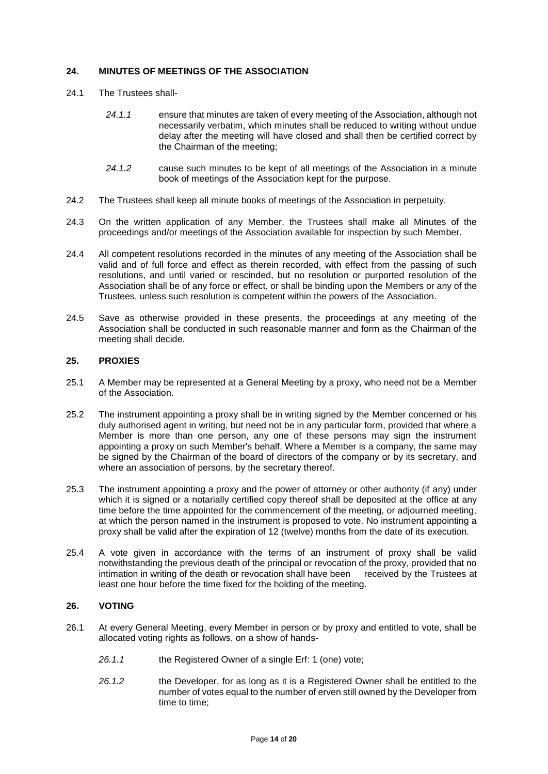## <span id="page-14-0"></span>**24. MINUTES OF MEETINGS OF THE ASSOCIATION**

- 24.1 The Trustees shall-
	- *24.1.1* ensure that minutes are taken of every meeting of the Association, although not necessarily verbatim, which minutes shall be reduced to writing without undue delay after the meeting will have closed and shall then be certified correct by the Chairman of the meeting;
	- *24.1.2* cause such minutes to be kept of all meetings of the Association in a minute book of meetings of the Association kept for the purpose.
- 24.2 The Trustees shall keep all minute books of meetings of the Association in perpetuity.
- 24.3 On the written application of any Member, the Trustees shall make all Minutes of the proceedings and/or meetings of the Association available for inspection by such Member.
- 24.4 All competent resolutions recorded in the minutes of any meeting of the Association shall be valid and of full force and effect as therein recorded, with effect from the passing of such resolutions, and until varied or rescinded, but no resolution or purported resolution of the Association shall be of any force or effect, or shall be binding upon the Members or any of the Trustees, unless such resolution is competent within the powers of the Association.
- 24.5 Save as otherwise provided in these presents, the proceedings at any meeting of the Association shall be conducted in such reasonable manner and form as the Chairman of the meeting shall decide.

## <span id="page-14-1"></span>**25. PROXIES**

- 25.1 A Member may be represented at a General Meeting by a proxy, who need not be a Member of the Association.
- 25.2 The instrument appointing a proxy shall be in writing signed by the Member concerned or his duly authorised agent in writing, but need not be in any particular form, provided that where a Member is more than one person, any one of these persons may sign the instrument appointing a proxy on such Member's behalf. Where a Member is a company, the same may be signed by the Chairman of the board of directors of the company or by its secretary, and where an association of persons, by the secretary thereof.
- 25.3 The instrument appointing a proxy and the power of attorney or other authority (if any) under which it is signed or a notarially certified copy thereof shall be deposited at the office at any time before the time appointed for the commencement of the meeting, or adjourned meeting, at which the person named in the instrument is proposed to vote. No instrument appointing a proxy shall be valid after the expiration of 12 (twelve) months from the date of its execution.
- 25.4 A vote given in accordance with the terms of an instrument of proxy shall be valid notwithstanding the previous death of the principal or revocation of the proxy, provided that no intimation in writing of the death or revocation shall have been received by the Trustees at least one hour before the time fixed for the holding of the meeting.

## <span id="page-14-2"></span>**26. VOTING**

- 26.1 At every General Meeting, every Member in person or by proxy and entitled to vote, shall be allocated voting rights as follows, on a show of hands-
	- *26.1.1* the Registered Owner of a single Erf: 1 (one) vote;
	- *26.1.2* the Developer, for as long as it is a Registered Owner shall be entitled to the number of votes equal to the number of erven still owned by the Developer from time to time;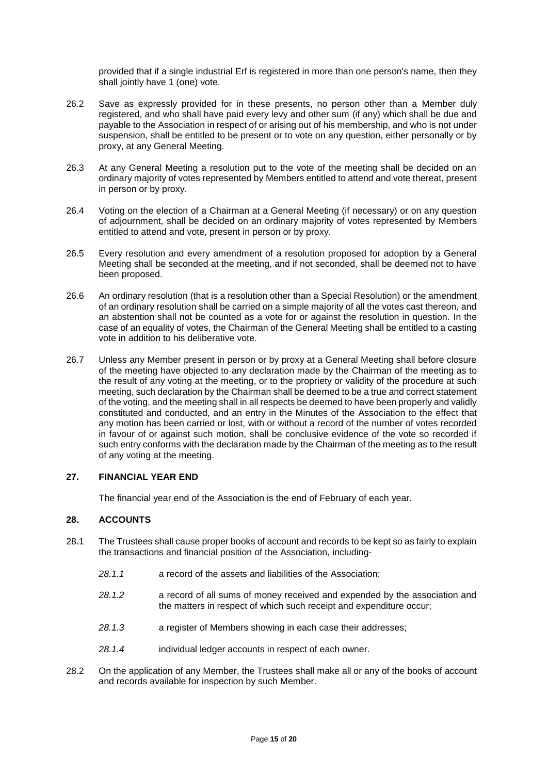provided that if a single industrial Erf is registered in more than one person's name, then they shall jointly have 1 (one) vote.

- 26.2 Save as expressly provided for in these presents, no person other than a Member duly registered, and who shall have paid every levy and other sum (if any) which shall be due and payable to the Association in respect of or arising out of his membership, and who is not under suspension, shall be entitled to be present or to vote on any question, either personally or by proxy, at any General Meeting.
- 26.3 At any General Meeting a resolution put to the vote of the meeting shall be decided on an ordinary majority of votes represented by Members entitled to attend and vote thereat, present in person or by proxy.
- 26.4 Voting on the election of a Chairman at a General Meeting (if necessary) or on any question of adjournment, shall be decided on an ordinary majority of votes represented by Members entitled to attend and vote, present in person or by proxy.
- 26.5 Every resolution and every amendment of a resolution proposed for adoption by a General Meeting shall be seconded at the meeting, and if not seconded, shall be deemed not to have been proposed.
- 26.6 An ordinary resolution (that is a resolution other than a Special Resolution) or the amendment of an ordinary resolution shall be carried on a simple majority of all the votes cast thereon, and an abstention shall not be counted as a vote for or against the resolution in question. In the case of an equality of votes, the Chairman of the General Meeting shall be entitled to a casting vote in addition to his deliberative vote.
- 26.7 Unless any Member present in person or by proxy at a General Meeting shall before closure of the meeting have objected to any declaration made by the Chairman of the meeting as to the result of any voting at the meeting, or to the propriety or validity of the procedure at such meeting, such declaration by the Chairman shall be deemed to be a true and correct statement of the voting, and the meeting shall in all respects be deemed to have been properly and validly constituted and conducted, and an entry in the Minutes of the Association to the effect that any motion has been carried or lost, with or without a record of the number of votes recorded in favour of or against such motion, shall be conclusive evidence of the vote so recorded if such entry conforms with the declaration made by the Chairman of the meeting as to the result of any voting at the meeting.

## <span id="page-15-0"></span>**27. FINANCIAL YEAR END**

The financial year end of the Association is the end of February of each year.

#### <span id="page-15-1"></span>**28. ACCOUNTS**

- 28.1 The Trustees shall cause proper books of account and records to be kept so as fairly to explain the transactions and financial position of the Association, including-
	- *28.1.1* a record of the assets and liabilities of the Association;
	- *28.1.2* a record of all sums of money received and expended by the association and the matters in respect of which such receipt and expenditure occur;
	- *28.1.3* a register of Members showing in each case their addresses;
	- *28.1.4* individual ledger accounts in respect of each owner.
- 28.2 On the application of any Member, the Trustees shall make all or any of the books of account and records available for inspection by such Member.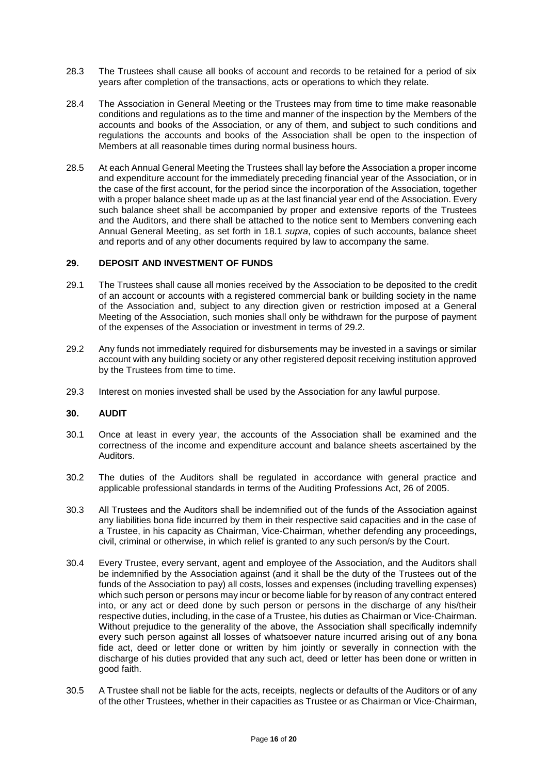- 28.3 The Trustees shall cause all books of account and records to be retained for a period of six years after completion of the transactions, acts or operations to which they relate.
- 28.4 The Association in General Meeting or the Trustees may from time to time make reasonable conditions and regulations as to the time and manner of the inspection by the Members of the accounts and books of the Association, or any of them, and subject to such conditions and regulations the accounts and books of the Association shall be open to the inspection of Members at all reasonable times during normal business hours.
- 28.5 At each Annual General Meeting the Trustees shall lay before the Association a proper income and expenditure account for the immediately preceding financial year of the Association, or in the case of the first account, for the period since the incorporation of the Association, together with a proper balance sheet made up as at the last financial year end of the Association. Every such balance sheet shall be accompanied by proper and extensive reports of the Trustees and the Auditors, and there shall be attached to the notice sent to Members convening each Annual General Meeting, as set forth in 18.1 *supra*, copies of such accounts, balance sheet and reports and of any other documents required by law to accompany the same.

#### <span id="page-16-0"></span>**29. DEPOSIT AND INVESTMENT OF FUNDS**

- 29.1 The Trustees shall cause all monies received by the Association to be deposited to the credit of an account or accounts with a registered commercial bank or building society in the name of the Association and, subject to any direction given or restriction imposed at a General Meeting of the Association, such monies shall only be withdrawn for the purpose of payment of the expenses of the Association or investment in terms of 29.2.
- 29.2 Any funds not immediately required for disbursements may be invested in a savings or similar account with any building society or any other registered deposit receiving institution approved by the Trustees from time to time.
- <span id="page-16-1"></span>29.3 Interest on monies invested shall be used by the Association for any lawful purpose.

## **30. AUDIT**

- 30.1 Once at least in every year, the accounts of the Association shall be examined and the correctness of the income and expenditure account and balance sheets ascertained by the Auditors.
- 30.2 The duties of the Auditors shall be regulated in accordance with general practice and applicable professional standards in terms of the Auditing Professions Act, 26 of 2005.
- 30.3 All Trustees and the Auditors shall be indemnified out of the funds of the Association against any liabilities bona fide incurred by them in their respective said capacities and in the case of a Trustee, in his capacity as Chairman, Vice-Chairman, whether defending any proceedings, civil, criminal or otherwise, in which relief is granted to any such person/s by the Court.
- 30.4 Every Trustee, every servant, agent and employee of the Association, and the Auditors shall be indemnified by the Association against (and it shall be the duty of the Trustees out of the funds of the Association to pay) all costs, losses and expenses (including travelling expenses) which such person or persons may incur or become liable for by reason of any contract entered into, or any act or deed done by such person or persons in the discharge of any his/their respective duties, including, in the case of a Trustee, his duties as Chairman or Vice-Chairman. Without prejudice to the generality of the above, the Association shall specifically indemnify every such person against all losses of whatsoever nature incurred arising out of any bona fide act, deed or letter done or written by him jointly or severally in connection with the discharge of his duties provided that any such act, deed or letter has been done or written in good faith.
- 30.5 A Trustee shall not be liable for the acts, receipts, neglects or defaults of the Auditors or of any of the other Trustees, whether in their capacities as Trustee or as Chairman or Vice-Chairman,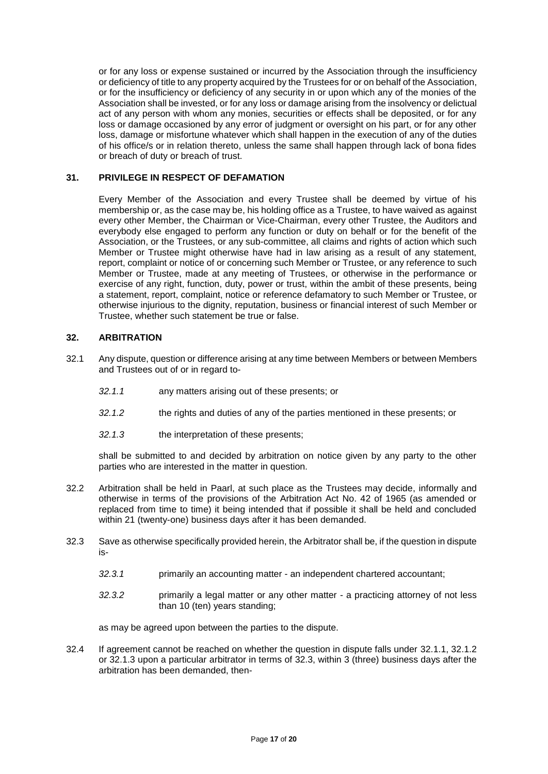or for any loss or expense sustained or incurred by the Association through the insufficiency or deficiency of title to any property acquired by the Trustees for or on behalf of the Association, or for the insufficiency or deficiency of any security in or upon which any of the monies of the Association shall be invested, or for any loss or damage arising from the insolvency or delictual act of any person with whom any monies, securities or effects shall be deposited, or for any loss or damage occasioned by any error of judgment or oversight on his part, or for any other loss, damage or misfortune whatever which shall happen in the execution of any of the duties of his office/s or in relation thereto, unless the same shall happen through lack of bona fides or breach of duty or breach of trust.

## <span id="page-17-0"></span>**31. PRIVILEGE IN RESPECT OF DEFAMATION**

Every Member of the Association and every Trustee shall be deemed by virtue of his membership or, as the case may be, his holding office as a Trustee, to have waived as against every other Member, the Chairman or Vice-Chairman, every other Trustee, the Auditors and everybody else engaged to perform any function or duty on behalf or for the benefit of the Association, or the Trustees, or any sub-committee, all claims and rights of action which such Member or Trustee might otherwise have had in law arising as a result of any statement, report, complaint or notice of or concerning such Member or Trustee, or any reference to such Member or Trustee, made at any meeting of Trustees, or otherwise in the performance or exercise of any right, function, duty, power or trust, within the ambit of these presents, being a statement, report, complaint, notice or reference defamatory to such Member or Trustee, or otherwise injurious to the dignity, reputation, business or financial interest of such Member or Trustee, whether such statement be true or false.

## <span id="page-17-1"></span>**32. ARBITRATION**

- 32.1 Any dispute, question or difference arising at any time between Members or between Members and Trustees out of or in regard to-
	- *32.1.1* any matters arising out of these presents; or
	- *32.1.2* the rights and duties of any of the parties mentioned in these presents; or
	- *32.1.3* the interpretation of these presents;

shall be submitted to and decided by arbitration on notice given by any party to the other parties who are interested in the matter in question.

- 32.2 Arbitration shall be held in Paarl, at such place as the Trustees may decide, informally and otherwise in terms of the provisions of the Arbitration Act No. 42 of 1965 (as amended or replaced from time to time) it being intended that if possible it shall be held and concluded within 21 (twenty-one) business days after it has been demanded.
- 32.3 Save as otherwise specifically provided herein, the Arbitrator shall be, if the question in dispute is-
	- *32.3.1* primarily an accounting matter an independent chartered accountant;
	- *32.3.2* primarily a legal matter or any other matter a practicing attorney of not less than 10 (ten) years standing;

as may be agreed upon between the parties to the dispute.

32.4 If agreement cannot be reached on whether the question in dispute falls under 32.1.1, 32.1.2 or 32.1.3 upon a particular arbitrator in terms of 32.3, within 3 (three) business days after the arbitration has been demanded, then-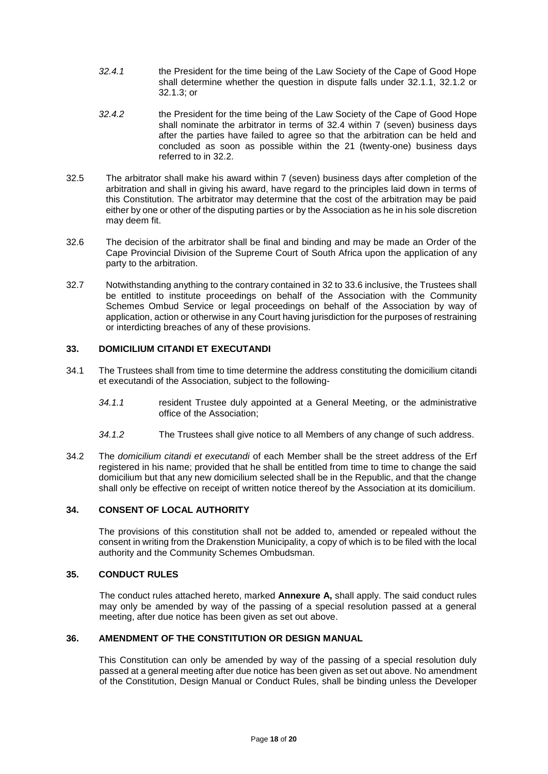- *32.4.1* the President for the time being of the Law Society of the Cape of Good Hope shall determine whether the question in dispute falls under 32.1.1, 32.1.2 or 32.1.3; or
- *32.4.2* the President for the time being of the Law Society of the Cape of Good Hope shall nominate the arbitrator in terms of 32.4 within 7 (seven) business days after the parties have failed to agree so that the arbitration can be held and concluded as soon as possible within the 21 (twenty-one) business days referred to in 32.2.
- 32.5 The arbitrator shall make his award within 7 (seven) business days after completion of the arbitration and shall in giving his award, have regard to the principles laid down in terms of this Constitution. The arbitrator may determine that the cost of the arbitration may be paid either by one or other of the disputing parties or by the Association as he in his sole discretion may deem fit.
- 32.6 The decision of the arbitrator shall be final and binding and may be made an Order of the Cape Provincial Division of the Supreme Court of South Africa upon the application of any party to the arbitration.
- 32.7 Notwithstanding anything to the contrary contained in 32 to 33.6 inclusive, the Trustees shall be entitled to institute proceedings on behalf of the Association with the Community Schemes Ombud Service or legal proceedings on behalf of the Association by way of application, action or otherwise in any Court having jurisdiction for the purposes of restraining or interdicting breaches of any of these provisions.

## <span id="page-18-0"></span>**33. DOMICILIUM CITANDI ET EXECUTANDI**

- 34.1 The Trustees shall from time to time determine the address constituting the domicilium citandi et executandi of the Association, subject to the following-
	- *34.1.1* resident Trustee duly appointed at a General Meeting, or the administrative office of the Association;
	- *34.1.2* The Trustees shall give notice to all Members of any change of such address.
- 34.2 The *domicilium citandi et executandi* of each Member shall be the street address of the Erf registered in his name; provided that he shall be entitled from time to time to change the said domicilium but that any new domicilium selected shall be in the Republic, and that the change shall only be effective on receipt of written notice thereof by the Association at its domicilium.

## <span id="page-18-1"></span>**34. CONSENT OF LOCAL AUTHORITY**

The provisions of this constitution shall not be added to, amended or repealed without the consent in writing from the Drakenstion Municipality, a copy of which is to be filed with the local authority and the Community Schemes Ombudsman.

#### <span id="page-18-2"></span>**35. CONDUCT RULES**

The conduct rules attached hereto, marked **Annexure A,** shall apply. The said conduct rules may only be amended by way of the passing of a special resolution passed at a general meeting, after due notice has been given as set out above.

## <span id="page-18-3"></span>**36. AMENDMENT OF THE CONSTITUTION OR DESIGN MANUAL**

This Constitution can only be amended by way of the passing of a special resolution duly passed at a general meeting after due notice has been given as set out above. No amendment of the Constitution, Design Manual or Conduct Rules, shall be binding unless the Developer